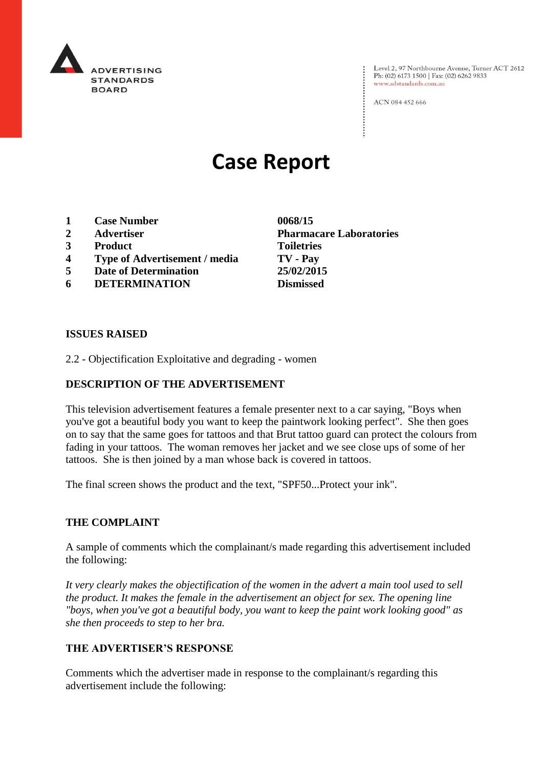

Level 2, 97 Northbourne Avenue, Turner ACT 2612<br>Ph: (02) 6173 1500 | Fax: (02) 6262 9833 www.adstandards.com.au

ACN 084 452 666

# **Case Report**

- **1 Case Number 0068/15**
- 
- **3 Product Toiletries**
- **4 Type of Advertisement / media TV - Pay**
- **5 Date of Determination 25/02/2015**
- **6 DETERMINATION Dismissed**

**ISSUES RAISED**

2.2 - Objectification Exploitative and degrading - women

### **DESCRIPTION OF THE ADVERTISEMENT**

This television advertisement features a female presenter next to a car saying, "Boys when you've got a beautiful body you want to keep the paintwork looking perfect". She then goes on to say that the same goes for tattoos and that Brut tattoo guard can protect the colours from fading in your tattoos. The woman removes her jacket and we see close ups of some of her tattoos. She is then joined by a man whose back is covered in tattoos.

The final screen shows the product and the text, "SPF50...Protect your ink".

## **THE COMPLAINT**

A sample of comments which the complainant/s made regarding this advertisement included the following:

*It very clearly makes the objectification of the women in the advert a main tool used to sell the product. It makes the female in the advertisement an object for sex. The opening line "boys, when you've got a beautiful body, you want to keep the paint work looking good" as she then proceeds to step to her bra.* 

## **THE ADVERTISER'S RESPONSE**

Comments which the advertiser made in response to the complainant/s regarding this advertisement include the following:

**2 Advertiser Pharmacare Laboratories**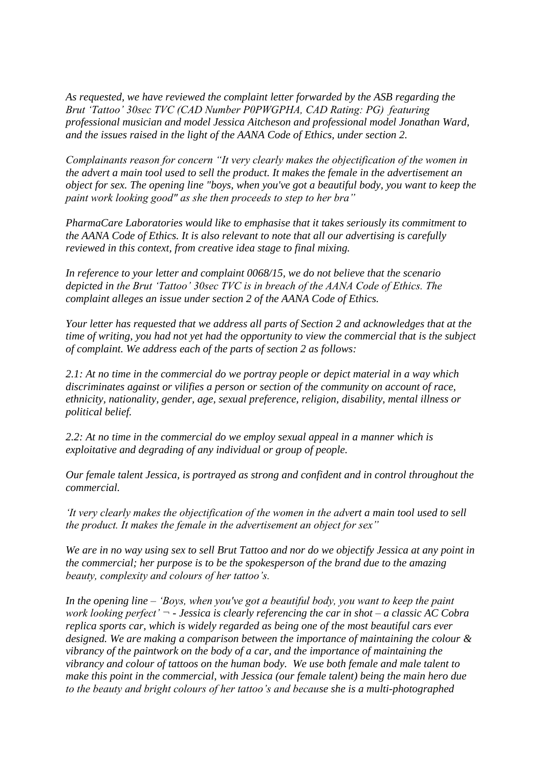*As requested, we have reviewed the complaint letter forwarded by the ASB regarding the Brut 'Tattoo' 30sec TVC (CAD Number P0PWGPHA, CAD Rating: PG) featuring professional musician and model Jessica Aitcheson and professional model Jonathan Ward, and the issues raised in the light of the AANA Code of Ethics, under section 2.*

*Complainants reason for concern "It very clearly makes the objectification of the women in the advert a main tool used to sell the product. It makes the female in the advertisement an object for sex. The opening line "boys, when you've got a beautiful body, you want to keep the paint work looking good" as she then proceeds to step to her bra"*

*PharmaCare Laboratories would like to emphasise that it takes seriously its commitment to the AANA Code of Ethics. It is also relevant to note that all our advertising is carefully reviewed in this context, from creative idea stage to final mixing.* 

*In reference to your letter and complaint 0068/15, we do not believe that the scenario depicted in the Brut 'Tattoo' 30sec TVC is in breach of the AANA Code of Ethics. The complaint alleges an issue under section 2 of the AANA Code of Ethics.* 

*Your letter has requested that we address all parts of Section 2 and acknowledges that at the time of writing, you had not yet had the opportunity to view the commercial that is the subject of complaint. We address each of the parts of section 2 as follows:* 

*2.1: At no time in the commercial do we portray people or depict material in a way which discriminates against or vilifies a person or section of the community on account of race, ethnicity, nationality, gender, age, sexual preference, religion, disability, mental illness or political belief.*

*2.2: At no time in the commercial do we employ sexual appeal in a manner which is exploitative and degrading of any individual or group of people.* 

*Our female talent Jessica, is portrayed as strong and confident and in control throughout the commercial.*

*'It very clearly makes the objectification of the women in the advert a main tool used to sell the product. It makes the female in the advertisement an object for sex"* 

*We are in no way using sex to sell Brut Tattoo and nor do we objectify Jessica at any point in the commercial; her purpose is to be the spokesperson of the brand due to the amazing beauty, complexity and colours of her tattoo's.* 

*In the opening line – 'Boys, when you've got a beautiful body, you want to keep the paint work looking perfect' ¬ - Jessica is clearly referencing the car in shot – a classic AC Cobra replica sports car, which is widely regarded as being one of the most beautiful cars ever designed. We are making a comparison between the importance of maintaining the colour & vibrancy of the paintwork on the body of a car, and the importance of maintaining the vibrancy and colour of tattoos on the human body. We use both female and male talent to make this point in the commercial, with Jessica (our female talent) being the main hero due to the beauty and bright colours of her tattoo's and because she is a multi-photographed*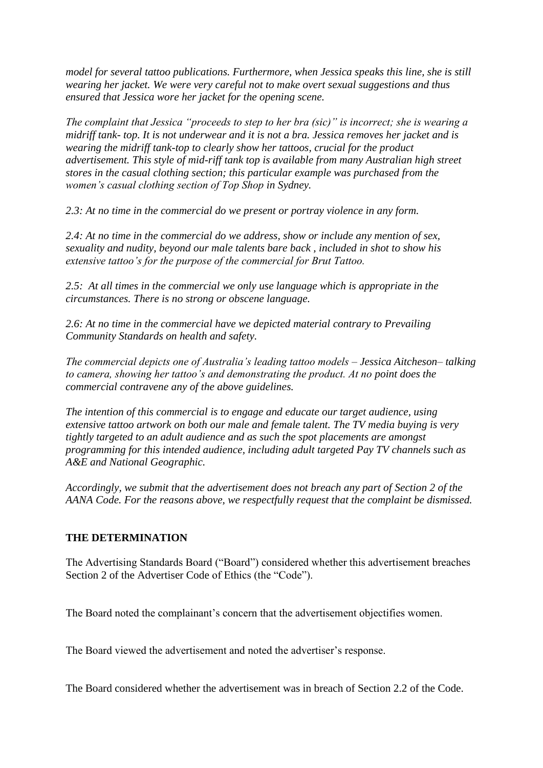*model for several tattoo publications. Furthermore, when Jessica speaks this line, she is still wearing her jacket. We were very careful not to make overt sexual suggestions and thus ensured that Jessica wore her jacket for the opening scene.*

*The complaint that Jessica "proceeds to step to her bra (sic)" is incorrect; she is wearing a midriff tank- top. It is not underwear and it is not a bra. Jessica removes her jacket and is wearing the midriff tank-top to clearly show her tattoos, crucial for the product advertisement. This style of mid-riff tank top is available from many Australian high street stores in the casual clothing section; this particular example was purchased from the women's casual clothing section of Top Shop in Sydney.* 

*2.3: At no time in the commercial do we present or portray violence in any form.*

*2.4: At no time in the commercial do we address, show or include any mention of sex, sexuality and nudity, beyond our male talents bare back , included in shot to show his extensive tattoo's for the purpose of the commercial for Brut Tattoo.*

*2.5: At all times in the commercial we only use language which is appropriate in the circumstances. There is no strong or obscene language.*

*2.6: At no time in the commercial have we depicted material contrary to Prevailing Community Standards on health and safety.* 

*The commercial depicts one of Australia's leading tattoo models – Jessica Aitcheson– talking to camera, showing her tattoo's and demonstrating the product. At no point does the commercial contravene any of the above guidelines.* 

*The intention of this commercial is to engage and educate our target audience, using extensive tattoo artwork on both our male and female talent. The TV media buying is very tightly targeted to an adult audience and as such the spot placements are amongst programming for this intended audience, including adult targeted Pay TV channels such as A&E and National Geographic.*

*Accordingly, we submit that the advertisement does not breach any part of Section 2 of the AANA Code. For the reasons above, we respectfully request that the complaint be dismissed.*

## **THE DETERMINATION**

The Advertising Standards Board ("Board") considered whether this advertisement breaches Section 2 of the Advertiser Code of Ethics (the "Code").

The Board noted the complainant's concern that the advertisement objectifies women.

The Board viewed the advertisement and noted the advertiser's response.

The Board considered whether the advertisement was in breach of Section 2.2 of the Code.